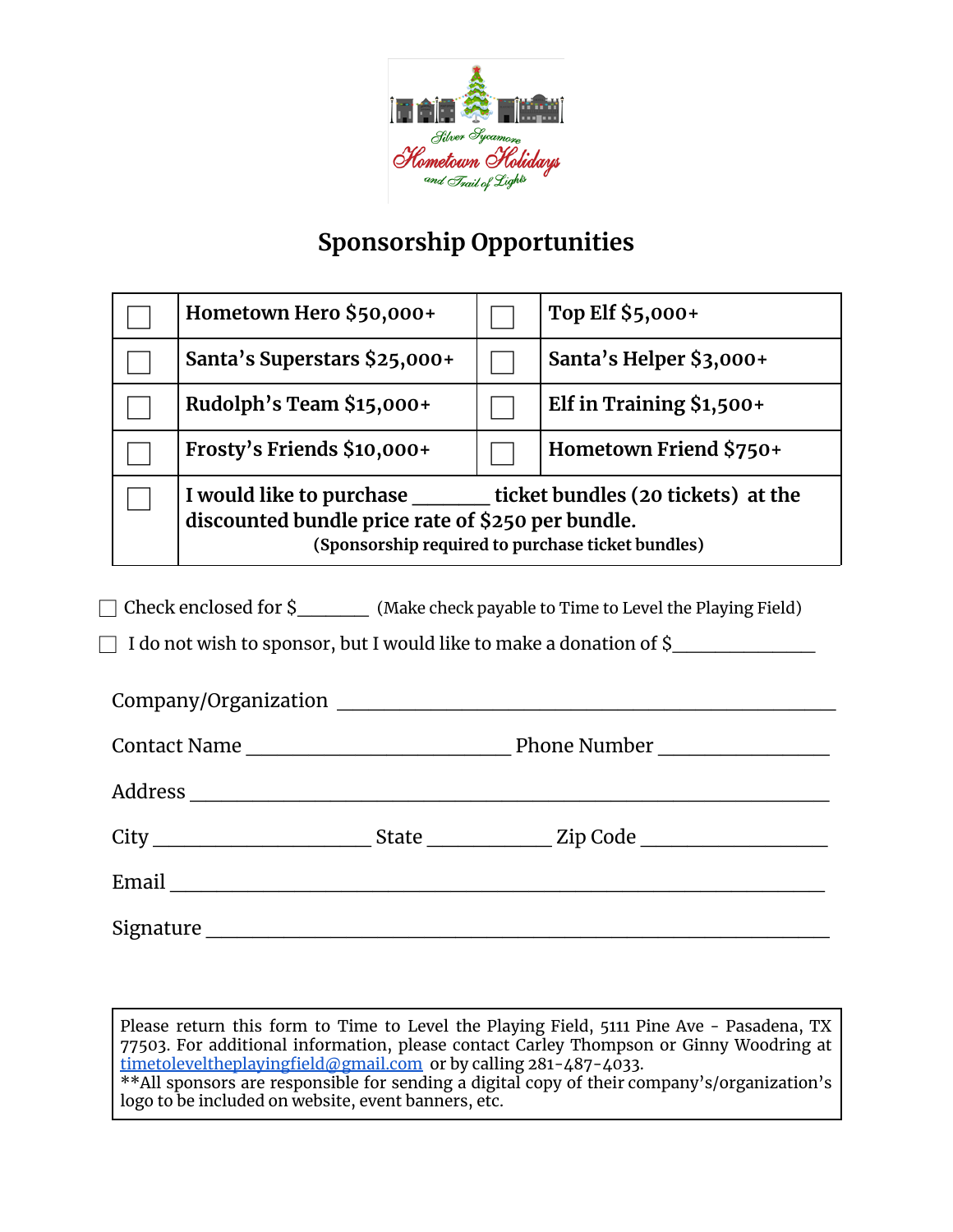

## **Sponsorship Opportunities**

| Hometown Hero \$50,000+                                                                                                                                               |  | Top Elf \$5,000+         |  |
|-----------------------------------------------------------------------------------------------------------------------------------------------------------------------|--|--------------------------|--|
| Santa's Superstars \$25,000+                                                                                                                                          |  | Santa's Helper \$3,000+  |  |
| Rudolph's Team \$15,000+                                                                                                                                              |  | Elf in Training \$1,500+ |  |
| Frosty's Friends \$10,000+                                                                                                                                            |  | Hometown Friend \$750+   |  |
| I would like to purchase ticket bundles (20 tickets) at the<br>discounted bundle price rate of \$250 per bundle.<br>(Sponsorship required to purchase ticket bundles) |  |                          |  |

◯ Check enclosed for \$ (Make check payable to Time to Level the Playing Field)

 $\Box$  I do not wish to sponsor, but I would like to make a donation of \$

| Email <u>__________________</u> |  |  |
|---------------------------------|--|--|
|                                 |  |  |

Please return this form to Time to Level the Playing Field, 5111 Pine Ave - Pasadena, TX 77503. For additional information, please contact Carley Thompson or Ginny Woodring at [timetoleveltheplayingfield@gmail.com](mailto:timetoleveltheplayingfield@gmail.com) or by calling 281-487-4033. \*\*All sponsors are responsible for sending a digital copy of their company's/organization's logo to be included on website, event banners, etc.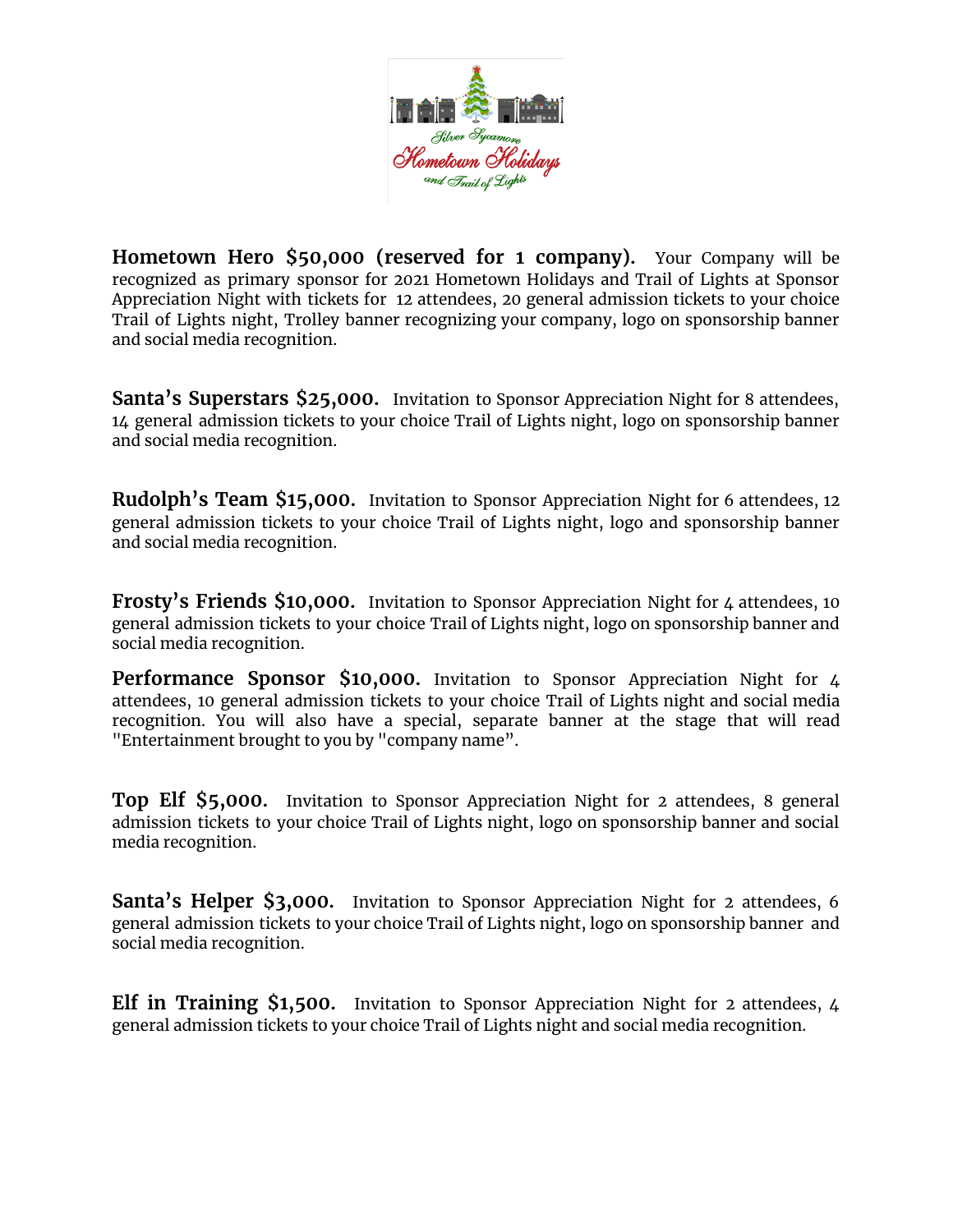

**Hometown Hero \$50,000 (reserved for 1 company).** Your Company will be recognized as primary sponsor for 2021 Hometown Holidays and Trail of Lights at Sponsor Appreciation Night with tickets for 12 attendees, 20 general admission tickets to your choice Trail of Lights night, Trolley banner recognizing your company, logo on sponsorship banner and social media recognition.

**Santa's Superstars \$25,000.** Invitation to Sponsor Appreciation Night for 8 attendees, 14 general admission tickets to your choice Trail of Lights night, logo on sponsorship banner and social media recognition.

**Rudolph's Team \$15,000.** Invitation to Sponsor Appreciation Night for 6 attendees, 12 general admission tickets to your choice Trail of Lights night, logo and sponsorship banner and social media recognition.

**Frosty's Friends \$10,000.** Invitation to Sponsor Appreciation Night for 4 attendees, 10 general admission tickets to your choice Trail of Lights night, logo on sponsorship banner and social media recognition.

**Performance Sponsor \$10,000.** Invitation to Sponsor Appreciation Night for 4 attendees, 10 general admission tickets to your choice Trail of Lights night and social media recognition. You will also have a special, separate banner at the stage that will read "Entertainment brought to you by "company name".

**Top Elf \$5,000.** Invitation to Sponsor Appreciation Night for 2 attendees, 8 general admission tickets to your choice Trail of Lights night, logo on sponsorship banner and social media recognition.

**Santa's Helper \$3,000.** Invitation to Sponsor Appreciation Night for 2 attendees, 6 general admission tickets to your choice Trail of Lights night, logo on sponsorship banner and social media recognition.

**Elf in Training \$1,500.** Invitation to Sponsor Appreciation Night for 2 attendees, 4 general admission tickets to your choice Trail of Lights night and social media recognition.